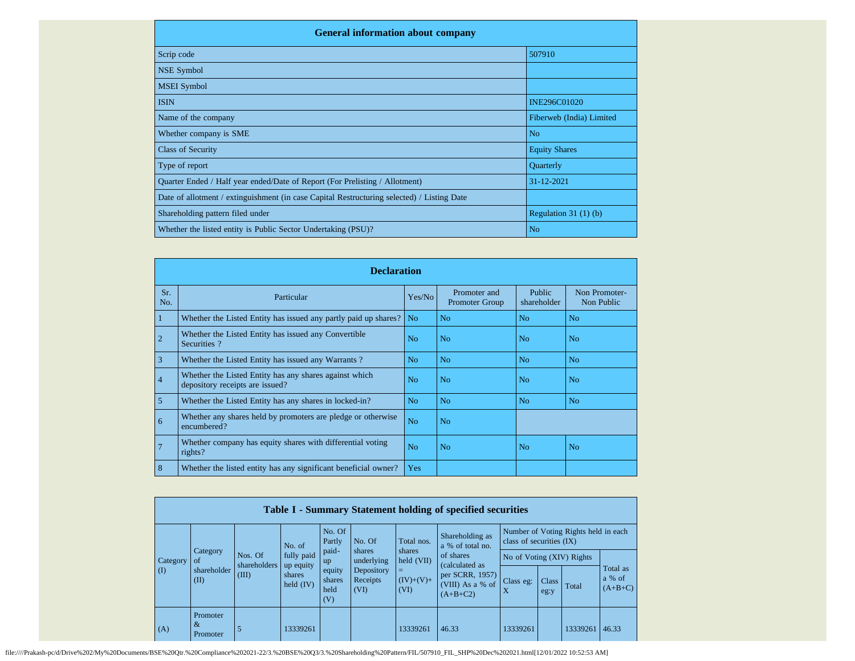| <b>General information about company</b>                                                   |                          |
|--------------------------------------------------------------------------------------------|--------------------------|
| Scrip code                                                                                 | 507910                   |
| NSE Symbol                                                                                 |                          |
| <b>MSEI</b> Symbol                                                                         |                          |
| <b>ISIN</b>                                                                                | INE296C01020             |
| Name of the company                                                                        | Fiberweb (India) Limited |
| Whether company is SME                                                                     | N <sub>0</sub>           |
| <b>Class of Security</b>                                                                   | <b>Equity Shares</b>     |
| Type of report                                                                             | <b>Ouarterly</b>         |
| Quarter Ended / Half year ended/Date of Report (For Prelisting / Allotment)                | 31-12-2021               |
| Date of allotment / extinguishment (in case Capital Restructuring selected) / Listing Date |                          |
| Shareholding pattern filed under                                                           | Regulation $31(1)(b)$    |
| Whether the listed entity is Public Sector Undertaking (PSU)?                              | N <sub>0</sub>           |

|                | <b>Declaration</b>                                                                        |                |                                |                              |                             |  |  |  |  |  |
|----------------|-------------------------------------------------------------------------------------------|----------------|--------------------------------|------------------------------|-----------------------------|--|--|--|--|--|
| Sr.<br>No.     | Particular                                                                                | Yes/No         | Promoter and<br>Promoter Group | <b>Public</b><br>shareholder | Non Promoter-<br>Non Public |  |  |  |  |  |
|                | Whether the Listed Entity has issued any partly paid up shares?                           | N <sub>o</sub> | N <sub>o</sub>                 | N <sub>o</sub>               | N <sub>o</sub>              |  |  |  |  |  |
|                | Whether the Listed Entity has issued any Convertible<br>Securities?                       | No             | N <sub>o</sub>                 | No.                          | N <sub>0</sub>              |  |  |  |  |  |
| 3              | Whether the Listed Entity has issued any Warrants?                                        | N <sub>o</sub> | N <sub>o</sub>                 | N <sub>0</sub>               | N <sub>0</sub>              |  |  |  |  |  |
| $\overline{4}$ | Whether the Listed Entity has any shares against which<br>depository receipts are issued? | No             | N <sub>o</sub>                 | No.                          | No                          |  |  |  |  |  |
| 5              | Whether the Listed Entity has any shares in locked-in?                                    | N <sub>o</sub> | N <sub>o</sub>                 | N <sub>o</sub>               | N <sub>o</sub>              |  |  |  |  |  |
| 6              | Whether any shares held by promoters are pledge or otherwise<br>encumbered?               | N <sub>o</sub> | N <sub>o</sub>                 |                              |                             |  |  |  |  |  |
|                | Whether company has equity shares with differential voting<br>rights?                     | N <sub>o</sub> | N <sub>o</sub>                 | No.                          | N <sub>o</sub>              |  |  |  |  |  |
| 8              | Whether the listed entity has any significant beneficial owner?                           | <b>Yes</b>     |                                |                              |                             |  |  |  |  |  |

|          | Table I - Summary Statement holding of specified securities |                         |                                    |                                 |                                |                            |                                                                     |                                                                  |               |          |                                    |
|----------|-------------------------------------------------------------|-------------------------|------------------------------------|---------------------------------|--------------------------------|----------------------------|---------------------------------------------------------------------|------------------------------------------------------------------|---------------|----------|------------------------------------|
|          |                                                             |                         | No. of                             | No. Of<br>Partly                | No. Of<br>Total nos.           |                            | Shareholding as<br>a % of total no.                                 | Number of Voting Rights held in each<br>class of securities (IX) |               |          |                                    |
| Category | Category<br><sub>of</sub>                                   | Nos. Of<br>shareholders | fully paid                         | paid-<br>up                     | shares<br>underlying           | shares<br>held (VII)       | of shares                                                           | No of Voting (XIV) Rights                                        |               |          |                                    |
| (I)      | shareholder<br>(II)                                         | (III)                   | up equity<br>shares<br>held $(IV)$ | equity<br>shares<br>held<br>(V) | Depository<br>Receipts<br>(VI) | $=$<br>$(IV)+(V)+$<br>(VI) | (calculated as<br>per SCRR, 1957)<br>(VIII) As a % of<br>$(A+B+C2)$ | Class eg:<br>X                                                   | Class<br>eg:y | Total    | Total as<br>$a \%$ of<br>$(A+B+C)$ |
| (A)      | Promoter<br>$\&$<br>Promoter                                | 5                       | 13339261                           |                                 |                                | 13339261                   | 46.33                                                               | 13339261                                                         |               | 13339261 | 46.33                              |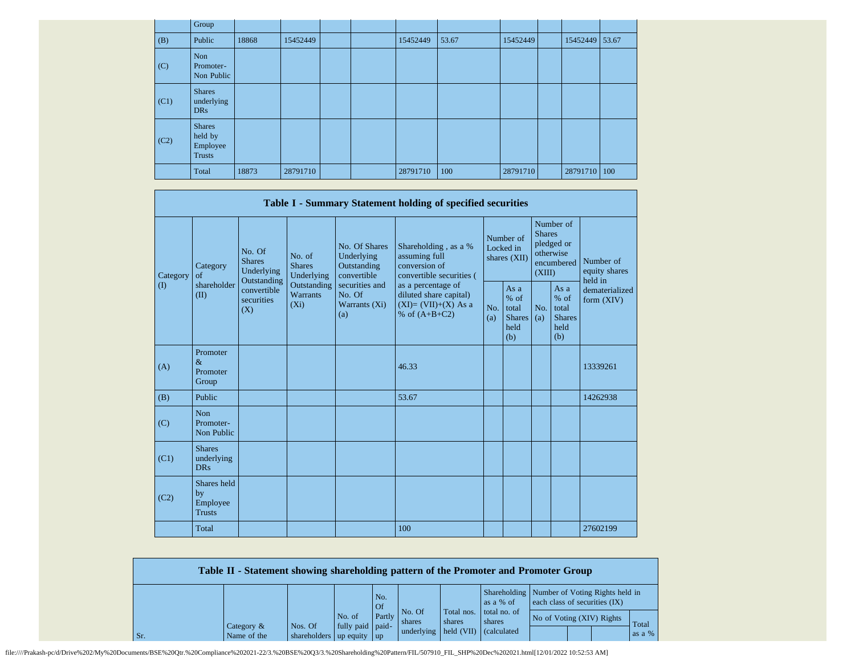|      | Group                                                 |       |          |  |          |       |          |                |  |
|------|-------------------------------------------------------|-------|----------|--|----------|-------|----------|----------------|--|
| (B)  | Public                                                | 18868 | 15452449 |  | 15452449 | 53.67 | 15452449 | 15452449 53.67 |  |
| (C)  | Non<br>Promoter-<br>Non Public                        |       |          |  |          |       |          |                |  |
| (C1) | <b>Shares</b><br>underlying<br>DR <sub>s</sub>        |       |          |  |          |       |          |                |  |
| (C2) | <b>Shares</b><br>held by<br>Employee<br><b>Trusts</b> |       |          |  |          |       |          |                |  |
|      | Total                                                 | 18873 | 28791710 |  | 28791710 | 100   | 28791710 | 28791710 100   |  |

|          |                                                |                                                 |                                           |                                                           | Table I - Summary Statement holding of specified securities                              |                                        |                                                           |                                                                               |                                                         |                                |  |                                       |
|----------|------------------------------------------------|-------------------------------------------------|-------------------------------------------|-----------------------------------------------------------|------------------------------------------------------------------------------------------|----------------------------------------|-----------------------------------------------------------|-------------------------------------------------------------------------------|---------------------------------------------------------|--------------------------------|--|---------------------------------------|
| Category | Category<br>of                                 | No. Of<br><b>Shares</b><br>Underlying           | No. of<br><b>Shares</b><br>Underlying     | No. Of Shares<br>Underlying<br>Outstanding<br>convertible | Shareholding, as a %<br>assuming full<br>conversion of<br>convertible securities (       | Number of<br>Locked in<br>shares (XII) |                                                           | Number of<br><b>Shares</b><br>pledged or<br>otherwise<br>encumbered<br>(XIII) |                                                         |                                |  | Number of<br>equity shares<br>held in |
| (I)      | shareholder<br>(II)                            | Outstanding<br>convertible<br>securities<br>(X) | Outstanding<br><b>Warrants</b><br>$(X_i)$ | securities and<br>No. Of<br>Warrants $(X_i)$<br>(a)       | as a percentage of<br>diluted share capital)<br>$(XI)=(VII)+(X) As a$<br>% of $(A+B+C2)$ | No.<br>(a)                             | As $a$<br>$%$ of<br>total<br><b>Shares</b><br>held<br>(b) | No.<br>(a)                                                                    | As a<br>$%$ of<br>total<br><b>Shares</b><br>held<br>(b) | dematerialized<br>form $(XIV)$ |  |                                       |
| (A)      | Promoter<br>$\&$<br>Promoter<br>Group          |                                                 |                                           |                                                           | 46.33                                                                                    |                                        |                                                           |                                                                               |                                                         | 13339261                       |  |                                       |
| (B)      | Public                                         |                                                 |                                           |                                                           | 53.67                                                                                    |                                        |                                                           |                                                                               |                                                         | 14262938                       |  |                                       |
| (C)      | Non<br>Promoter-<br>Non Public                 |                                                 |                                           |                                                           |                                                                                          |                                        |                                                           |                                                                               |                                                         |                                |  |                                       |
| (C1)     | <b>Shares</b><br>underlying<br><b>DRs</b>      |                                                 |                                           |                                                           |                                                                                          |                                        |                                                           |                                                                               |                                                         |                                |  |                                       |
| (C2)     | Shares held<br>by<br>Employee<br><b>Trusts</b> |                                                 |                                           |                                                           |                                                                                          |                                        |                                                           |                                                                               |                                                         |                                |  |                                       |
|          | Total                                          |                                                 |                                           |                                                           | 100                                                                                      |                                        |                                                           |                                                                               |                                                         | 27602199                       |  |                                       |

|     | Table II - Statement showing shareholding pattern of the Promoter and Promoter Group |                                      |                            |             |                                |                                    |                                                           |                               |  |                 |
|-----|--------------------------------------------------------------------------------------|--------------------------------------|----------------------------|-------------|--------------------------------|------------------------------------|-----------------------------------------------------------|-------------------------------|--|-----------------|
|     |                                                                                      |                                      |                            | No.<br>Of 0 |                                |                                    | Shareholding Number of Voting Rights held in<br>as a % of | each class of securities (IX) |  |                 |
| Sr. | Category $\&$<br>Name of the                                                         | Nos. Of<br>shareholders up equity up | No. of<br>fully paid paid- | Partly      | No. Of<br>shares<br>underlying | Total nos.<br>shares<br>held (VII) | total no. of<br>shares<br><i>(calculated)</i>             | No of Voting (XIV) Rights     |  | Total<br>as a % |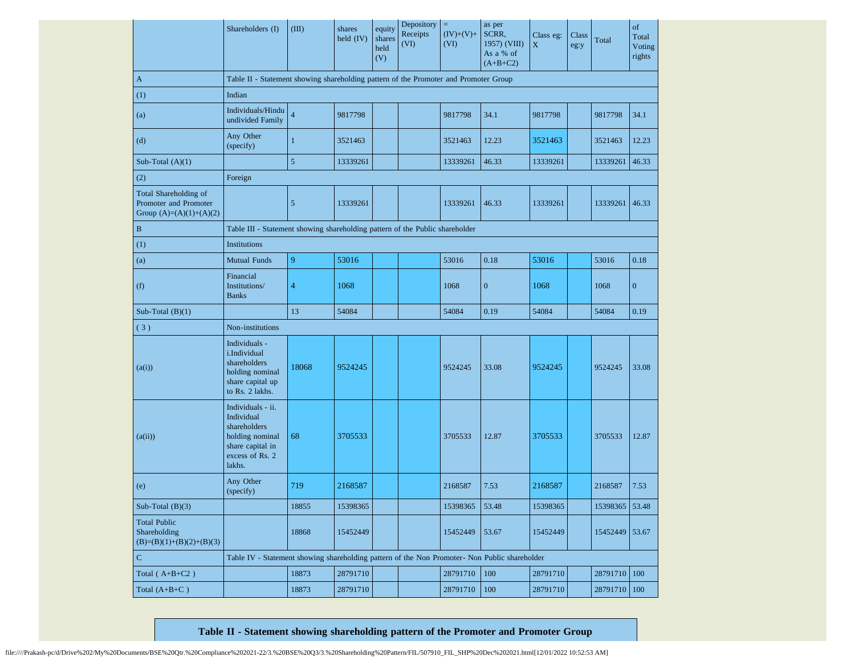|                                                                             | Shareholders (I)                                                                                                    | (III)          | shares<br>held $(IV)$ | equity<br>shares<br>held<br>(V) | Depository<br>Receipts<br>(VI) | Ξ<br>$(IV)+(V)+$<br>(VI) | as per<br>SCRR,<br>1957) (VIII)<br>As a % of<br>$(A+B+C2)$ | Class eg:<br>X | Class<br>eg:y | Total        | of<br>Total<br>Voting<br>rights |
|-----------------------------------------------------------------------------|---------------------------------------------------------------------------------------------------------------------|----------------|-----------------------|---------------------------------|--------------------------------|--------------------------|------------------------------------------------------------|----------------|---------------|--------------|---------------------------------|
| A                                                                           | Table II - Statement showing shareholding pattern of the Promoter and Promoter Group                                |                |                       |                                 |                                |                          |                                                            |                |               |              |                                 |
| (1)                                                                         | Indian                                                                                                              |                |                       |                                 |                                |                          |                                                            |                |               |              |                                 |
| (a)                                                                         | Individuals/Hindu<br>undivided Family                                                                               | $\overline{4}$ | 9817798               |                                 |                                | 9817798                  | 34.1                                                       | 9817798        |               | 9817798      | 34.1                            |
| (d)                                                                         | Any Other<br>(specify)                                                                                              | $\mathbf{1}$   | 3521463               |                                 |                                | 3521463                  | 12.23                                                      | 3521463        |               | 3521463      | 12.23                           |
| Sub-Total $(A)(1)$                                                          |                                                                                                                     | 5              | 13339261              |                                 |                                | 13339261                 | 46.33                                                      | 13339261       |               | 13339261     | 46.33                           |
| (2)                                                                         | Foreign                                                                                                             |                |                       |                                 |                                |                          |                                                            |                |               |              |                                 |
| Total Shareholding of<br>Promoter and Promoter<br>Group $(A)=(A)(1)+(A)(2)$ |                                                                                                                     | $\mathfrak{S}$ | 13339261              |                                 |                                | 13339261                 | 46.33                                                      | 13339261       |               | 13339261     | 46.33                           |
| $\mathbf B$                                                                 | Table III - Statement showing shareholding pattern of the Public shareholder                                        |                |                       |                                 |                                |                          |                                                            |                |               |              |                                 |
| (1)                                                                         | Institutions                                                                                                        |                |                       |                                 |                                |                          |                                                            |                |               |              |                                 |
| (a)                                                                         | <b>Mutual Funds</b>                                                                                                 | 9              | 53016                 |                                 |                                | 53016                    | 0.18                                                       | 53016          |               | 53016        | 0.18                            |
| (f)                                                                         | Financial<br>Institutions/<br><b>Banks</b>                                                                          | $\overline{4}$ | 1068                  |                                 |                                | 1068                     | $\boldsymbol{0}$                                           | 1068           |               | 1068         | $\boldsymbol{0}$                |
| Sub-Total $(B)(1)$                                                          |                                                                                                                     | 13             | 54084                 |                                 |                                | 54084                    | 0.19                                                       | 54084          |               | 54084        | 0.19                            |
| (3)                                                                         | Non-institutions                                                                                                    |                |                       |                                 |                                |                          |                                                            |                |               |              |                                 |
| (a(i))                                                                      | Individuals -<br>i.Individual<br>shareholders<br>holding nominal<br>share capital up<br>to Rs. 2 lakhs.             | 18068          | 9524245               |                                 |                                | 9524245                  | 33.08                                                      | 9524245        |               | 9524245      | 33.08                           |
| (a(ii))                                                                     | Individuals - ii.<br>Individual<br>shareholders<br>holding nominal<br>share capital in<br>excess of Rs. 2<br>lakhs. | 68             | 3705533               |                                 |                                | 3705533                  | 12.87                                                      | 3705533        |               | 3705533      | 12.87                           |
| (e)                                                                         | Any Other<br>(specify)                                                                                              | 719            | 2168587               |                                 |                                | 2168587                  | 7.53                                                       | 2168587        |               | 2168587      | 7.53                            |
| Sub-Total $(B)(3)$                                                          |                                                                                                                     | 18855          | 15398365              |                                 |                                | 15398365                 | 53.48                                                      | 15398365       |               | 15398365     | 53.48                           |
| <b>Total Public</b><br>Shareholding<br>$(B)=(B)(1)+(B)(2)+(B)(3)$           |                                                                                                                     | 18868          | 15452449              |                                 |                                | 15452449                 | 53.67                                                      | 15452449       |               | 15452449     | 53.67                           |
| $\mathbf C$                                                                 | Table IV - Statement showing shareholding pattern of the Non Promoter- Non Public shareholder                       |                |                       |                                 |                                |                          |                                                            |                |               |              |                                 |
| Total $(A+B+C2)$                                                            |                                                                                                                     | 18873          | 28791710              |                                 |                                | 28791710                 | 100                                                        | 28791710       |               | 28791710 100 |                                 |
| Total $(A+B+C)$                                                             |                                                                                                                     | 18873          | 28791710              |                                 |                                | 28791710                 | 100                                                        | 28791710       |               | 28791710     | 100                             |

**Table II - Statement showing shareholding pattern of the Promoter and Promoter Group**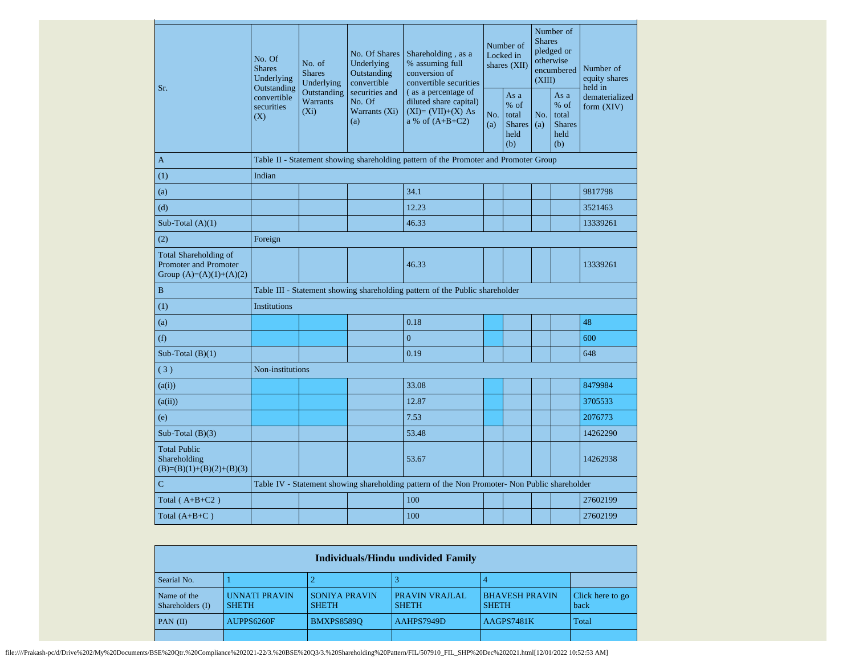| Sr.                                                                                | No. Of<br>No. of<br><b>Shares</b><br><b>Shares</b><br>Underlying<br>Underlying<br>Outstanding |                                                     | No. Of Shares<br>Underlying<br>Outstanding<br>convertible | Shareholding, as a<br>% assuming full<br>conversion of<br>convertible securities          |            | Number of<br>Locked in<br>shares (XII)                  |            | Number of<br><b>Shares</b><br>pledged or<br>otherwise<br>encumbered<br>(XIII) | Number of<br>equity shares<br>held in |
|------------------------------------------------------------------------------------|-----------------------------------------------------------------------------------------------|-----------------------------------------------------|-----------------------------------------------------------|-------------------------------------------------------------------------------------------|------------|---------------------------------------------------------|------------|-------------------------------------------------------------------------------|---------------------------------------|
|                                                                                    | convertible<br>securities<br>(X)                                                              | Outstanding<br><b>Warrants</b><br>(X <sub>i</sub> ) | securities and<br>No. Of<br>Warrants (Xi)<br>(a)          | (as a percentage of<br>diluted share capital)<br>$(XI)=(VII)+(X) As$<br>a % of $(A+B+C2)$ | No.<br>(a) | As a<br>$%$ of<br>total<br><b>Shares</b><br>held<br>(b) | No.<br>(a) | As a<br>$%$ of<br>total<br><b>Shares</b><br>held<br>(b)                       | dematerialized<br>form (XIV)          |
| $\mathbf{A}$                                                                       |                                                                                               |                                                     |                                                           | Table II - Statement showing shareholding pattern of the Promoter and Promoter Group      |            |                                                         |            |                                                                               |                                       |
| (1)                                                                                | Indian                                                                                        |                                                     |                                                           |                                                                                           |            |                                                         |            |                                                                               |                                       |
| (a)                                                                                |                                                                                               |                                                     |                                                           | 34.1                                                                                      |            |                                                         |            |                                                                               | 9817798                               |
| (d)                                                                                |                                                                                               |                                                     |                                                           | 12.23                                                                                     |            |                                                         |            |                                                                               | 3521463                               |
| Sub-Total $(A)(1)$                                                                 |                                                                                               |                                                     |                                                           | 46.33                                                                                     |            |                                                         |            |                                                                               | 13339261                              |
| (2)                                                                                | Foreign                                                                                       |                                                     |                                                           |                                                                                           |            |                                                         |            |                                                                               |                                       |
| <b>Total Shareholding of</b><br>Promoter and Promoter<br>Group $(A)=(A)(1)+(A)(2)$ |                                                                                               |                                                     |                                                           | 46.33                                                                                     |            |                                                         |            |                                                                               | 13339261                              |
| $\bf{B}$                                                                           |                                                                                               |                                                     |                                                           | Table III - Statement showing shareholding pattern of the Public shareholder              |            |                                                         |            |                                                                               |                                       |
| (1)                                                                                | Institutions                                                                                  |                                                     |                                                           |                                                                                           |            |                                                         |            |                                                                               |                                       |
| (a)                                                                                |                                                                                               |                                                     |                                                           | 0.18                                                                                      |            |                                                         |            |                                                                               | 48                                    |
| (f)                                                                                |                                                                                               |                                                     |                                                           | $\overline{0}$                                                                            |            |                                                         |            |                                                                               | 600                                   |
| Sub-Total $(B)(1)$                                                                 |                                                                                               |                                                     |                                                           | 0.19                                                                                      |            |                                                         |            |                                                                               | 648                                   |
| (3)                                                                                | Non-institutions                                                                              |                                                     |                                                           |                                                                                           |            |                                                         |            |                                                                               |                                       |
| (a(i))                                                                             |                                                                                               |                                                     |                                                           | 33.08                                                                                     |            |                                                         |            |                                                                               | 8479984                               |
| (a(ii))                                                                            |                                                                                               |                                                     |                                                           | 12.87                                                                                     |            |                                                         |            |                                                                               | 3705533                               |
| (e)                                                                                |                                                                                               |                                                     |                                                           | 7.53                                                                                      |            |                                                         |            |                                                                               | 2076773                               |
| Sub-Total $(B)(3)$                                                                 |                                                                                               |                                                     |                                                           | 53.48                                                                                     |            |                                                         |            |                                                                               | 14262290                              |
| <b>Total Public</b><br>Shareholding<br>$(B)=(B)(1)+(B)(2)+(B)(3)$                  |                                                                                               |                                                     |                                                           | 53.67                                                                                     |            |                                                         |            |                                                                               | 14262938                              |
| $\mathbf C$                                                                        | Table IV - Statement showing shareholding pattern of the Non Promoter- Non Public shareholder |                                                     |                                                           |                                                                                           |            |                                                         |            |                                                                               |                                       |
| Total $(A+B+C2)$                                                                   |                                                                                               |                                                     |                                                           | 100                                                                                       |            |                                                         |            |                                                                               | 27602199                              |
| Total $(A+B+C)$                                                                    |                                                                                               |                                                     |                                                           | 100                                                                                       |            |                                                         |            |                                                                               | 27602199                              |

|                                 | Individuals/Hindu undivided Family |                                      |                                       |                                       |                          |  |  |  |  |  |  |
|---------------------------------|------------------------------------|--------------------------------------|---------------------------------------|---------------------------------------|--------------------------|--|--|--|--|--|--|
| Searial No.                     |                                    |                                      |                                       |                                       |                          |  |  |  |  |  |  |
| Name of the<br>Shareholders (I) | UNNATI PRAVIN<br><b>SHETH</b>      | <b>SONIYA PRAVIN</b><br><b>SHETH</b> | <b>PRAVIN VRAJLAL</b><br><b>SHETH</b> | <b>BHAVESH PRAVIN</b><br><b>SHETH</b> | Click here to go<br>back |  |  |  |  |  |  |
| $PAN$ (II)                      | AUPPS6260F                         | <b>BMXPS85890</b>                    | AAHPS7949D                            | AAGPS7481K                            | Total                    |  |  |  |  |  |  |
|                                 |                                    |                                      |                                       |                                       |                          |  |  |  |  |  |  |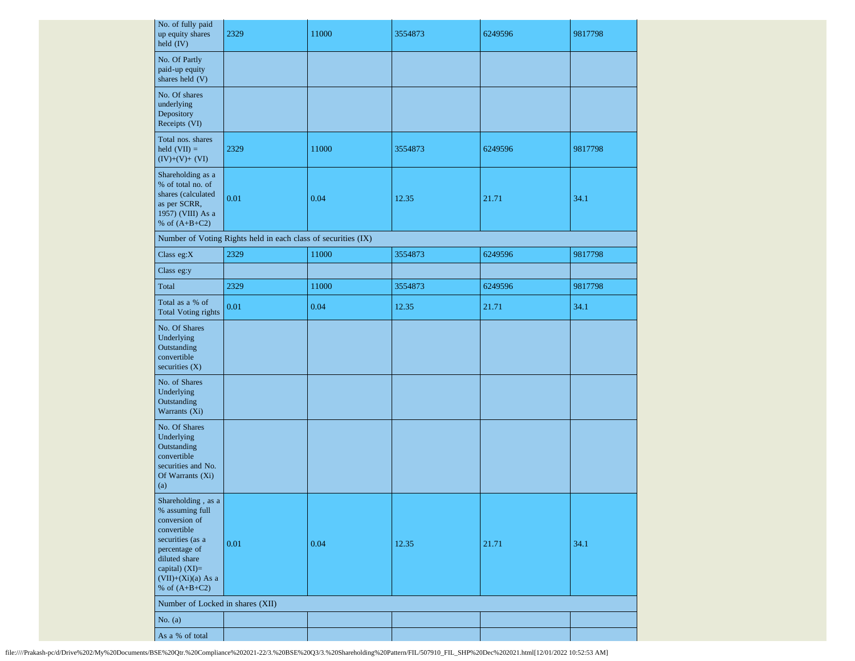| No. of fully paid<br>up equity shares<br>held (IV)                                                                                                                                         | 2329                                                          | 11000 | 3554873 | 6249596 | 9817798 |
|--------------------------------------------------------------------------------------------------------------------------------------------------------------------------------------------|---------------------------------------------------------------|-------|---------|---------|---------|
| No. Of Partly<br>paid-up equity<br>shares held (V)                                                                                                                                         |                                                               |       |         |         |         |
| No. Of shares<br>underlying<br>Depository<br>Receipts (VI)                                                                                                                                 |                                                               |       |         |         |         |
| Total nos. shares<br>$held (VII) =$<br>$(IV)+(V)+(VI)$                                                                                                                                     | 2329                                                          | 11000 | 3554873 | 6249596 | 9817798 |
| Shareholding as a<br>% of total no. of<br>shares (calculated<br>as per SCRR,<br>1957) (VIII) As a<br>% of $(A+B+C2)$                                                                       | 0.01                                                          | 0.04  | 12.35   | 21.71   | 34.1    |
|                                                                                                                                                                                            | Number of Voting Rights held in each class of securities (IX) |       |         |         |         |
| Class eg:X                                                                                                                                                                                 | 2329                                                          | 11000 | 3554873 | 6249596 | 9817798 |
| Class eg:y                                                                                                                                                                                 |                                                               |       |         |         |         |
| Total                                                                                                                                                                                      | 2329                                                          | 11000 | 3554873 | 6249596 | 9817798 |
| Total as a % of<br><b>Total Voting rights</b>                                                                                                                                              | 0.01                                                          | 0.04  | 12.35   | 21.71   | 34.1    |
| No. Of Shares<br>Underlying<br>Outstanding<br>convertible<br>securities $(X)$                                                                                                              |                                                               |       |         |         |         |
| No. of Shares<br>Underlying<br>Outstanding<br>Warrants (Xi)                                                                                                                                |                                                               |       |         |         |         |
| No. Of Shares<br>Underlying<br>Outstanding<br>convertible<br>securities and No.<br>Of Warrants (Xi)<br>(a)                                                                                 |                                                               |       |         |         |         |
| Shareholding, as a<br>% assuming full<br>conversion of<br>convertible<br>securities (as a<br>percentage of<br>diluted share<br>capital) $(XI)=$<br>$(VII)+(Xi)(a)$ As a<br>% of $(A+B+C2)$ | 0.01                                                          | 0.04  | 12.35   | 21.71   | 34.1    |
| Number of Locked in shares (XII)                                                                                                                                                           |                                                               |       |         |         |         |
| No. $(a)$                                                                                                                                                                                  |                                                               |       |         |         |         |
| As a % of total                                                                                                                                                                            |                                                               |       |         |         |         |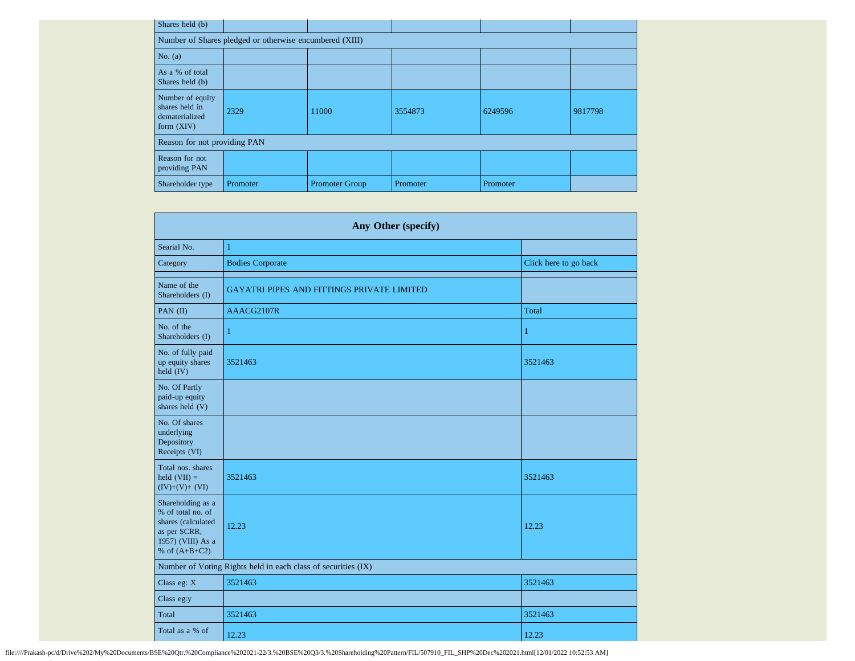| Shares held (b)                                                      |                                                         |                       |          |          |         |
|----------------------------------------------------------------------|---------------------------------------------------------|-----------------------|----------|----------|---------|
|                                                                      | Number of Shares pledged or otherwise encumbered (XIII) |                       |          |          |         |
| No. $(a)$                                                            |                                                         |                       |          |          |         |
| As a % of total<br>Shares held (b)                                   |                                                         |                       |          |          |         |
| Number of equity<br>shares held in<br>dematerialized<br>form $(XIV)$ | 2329                                                    | 11000                 | 3554873  | 6249596  | 9817798 |
| Reason for not providing PAN                                         |                                                         |                       |          |          |         |
| Reason for not<br>providing PAN                                      |                                                         |                       |          |          |         |
| Shareholder type                                                     | Promoter                                                | <b>Promoter Group</b> | Promoter | Promoter |         |

|                                                                                                                      | Any Other (specify)                                           |                       |
|----------------------------------------------------------------------------------------------------------------------|---------------------------------------------------------------|-----------------------|
| Searial No.                                                                                                          | $\mathbf{1}$                                                  |                       |
| Category                                                                                                             | <b>Bodies Corporate</b>                                       | Click here to go back |
| Name of the<br>Shareholders (I)                                                                                      | <b>GAYATRI PIPES AND FITTINGS PRIVATE LIMITED</b>             |                       |
| PAN (II)                                                                                                             | AAACG2107R                                                    | Total                 |
| No. of the<br>Shareholders (I)                                                                                       | 1                                                             | 1                     |
| No. of fully paid<br>up equity shares<br>held (IV)                                                                   | 3521463                                                       | 3521463               |
| No. Of Partly<br>paid-up equity<br>shares held (V)                                                                   |                                                               |                       |
| No. Of shares<br>underlying<br>Depository<br>Receipts (VI)                                                           |                                                               |                       |
| Total nos. shares<br>held $(VII)$ =<br>$(IV)+(V)+(VI)$                                                               | 3521463                                                       | 3521463               |
| Shareholding as a<br>% of total no. of<br>shares (calculated<br>as per SCRR,<br>1957) (VIII) As a<br>% of $(A+B+C2)$ | 12.23                                                         | 12.23                 |
|                                                                                                                      | Number of Voting Rights held in each class of securities (IX) |                       |
| Class eg: X                                                                                                          | 3521463                                                       | 3521463               |
| Class eg:y                                                                                                           |                                                               |                       |
| Total                                                                                                                | 3521463                                                       | 3521463               |
| Total as a % of                                                                                                      | 12.23                                                         | 12.23                 |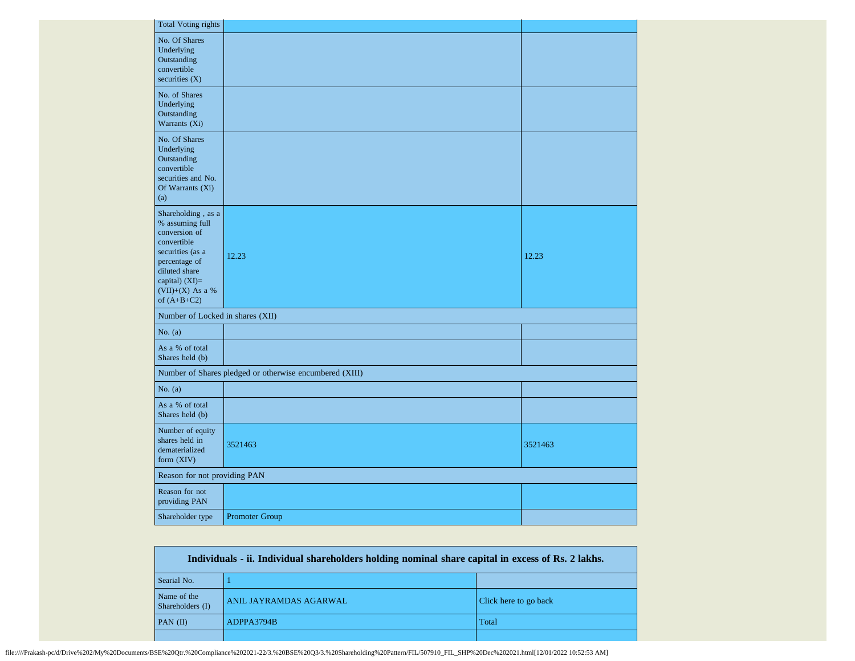| <b>Total Voting rights</b>                                                                                                                                                           |                                                         |         |
|--------------------------------------------------------------------------------------------------------------------------------------------------------------------------------------|---------------------------------------------------------|---------|
| No. Of Shares<br>Underlying<br>Outstanding<br>convertible<br>securities $(X)$                                                                                                        |                                                         |         |
| No. of Shares<br>Underlying<br>Outstanding<br>Warrants (Xi)                                                                                                                          |                                                         |         |
| No. Of Shares<br>Underlying<br>Outstanding<br>convertible<br>securities and No.<br>Of Warrants (Xi)<br>(a)                                                                           |                                                         |         |
| Shareholding, as a<br>% assuming full<br>conversion of<br>convertible<br>securities (as a<br>percentage of<br>diluted share<br>capital) $(XI)=$<br>(VII)+(X) As a %<br>of $(A+B+C2)$ | 12.23                                                   | 12.23   |
| Number of Locked in shares (XII)                                                                                                                                                     |                                                         |         |
| No. $(a)$                                                                                                                                                                            |                                                         |         |
| As a % of total<br>Shares held (b)                                                                                                                                                   |                                                         |         |
|                                                                                                                                                                                      | Number of Shares pledged or otherwise encumbered (XIII) |         |
| No. $(a)$                                                                                                                                                                            |                                                         |         |
| As a % of total<br>Shares held (b)                                                                                                                                                   |                                                         |         |
| Number of equity<br>shares held in<br>dematerialized<br>form (XIV)                                                                                                                   | 3521463                                                 | 3521463 |
| Reason for not providing PAN                                                                                                                                                         |                                                         |         |
| Reason for not<br>providing PAN                                                                                                                                                      |                                                         |         |
| Shareholder type                                                                                                                                                                     | Promoter Group                                          |         |

| Individuals - ii. Individual shareholders holding nominal share capital in excess of Rs. 2 lakhs. |                        |                       |  |  |  |  |  |  |
|---------------------------------------------------------------------------------------------------|------------------------|-----------------------|--|--|--|--|--|--|
| Searial No.                                                                                       |                        |                       |  |  |  |  |  |  |
| Name of the<br>Shareholders (I)                                                                   | ANIL JAYRAMDAS AGARWAL | Click here to go back |  |  |  |  |  |  |
| $PAN$ (II)                                                                                        | ADPPA3794B             | Total                 |  |  |  |  |  |  |
|                                                                                                   |                        |                       |  |  |  |  |  |  |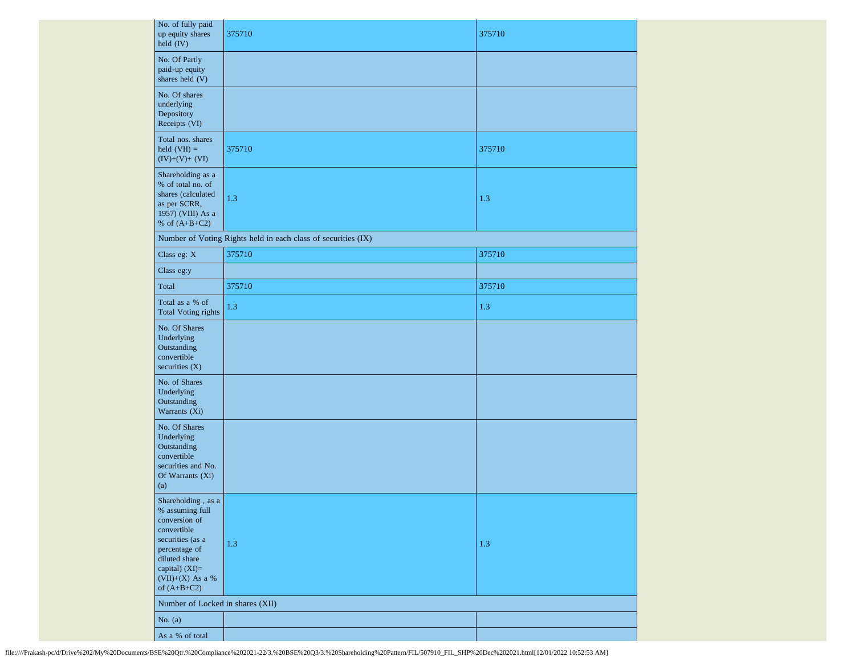| No. of fully paid<br>up equity shares<br>held (IV)                                                                                                                                            | 375710                                                        | 375710 |  |  |  |  |  |  |
|-----------------------------------------------------------------------------------------------------------------------------------------------------------------------------------------------|---------------------------------------------------------------|--------|--|--|--|--|--|--|
| No. Of Partly<br>paid-up equity<br>shares held (V)                                                                                                                                            |                                                               |        |  |  |  |  |  |  |
| No. Of shares<br>underlying<br>Depository<br>Receipts (VI)                                                                                                                                    |                                                               |        |  |  |  |  |  |  |
| Total nos. shares<br>held $(VII) =$<br>$(IV)+(V)+(VI)$                                                                                                                                        | 375710                                                        | 375710 |  |  |  |  |  |  |
| Shareholding as a<br>% of total no. of<br>shares (calculated<br>as per SCRR,<br>1957) (VIII) As a<br>% of $(A+B+C2)$                                                                          | 1.3                                                           | 1.3    |  |  |  |  |  |  |
|                                                                                                                                                                                               | Number of Voting Rights held in each class of securities (IX) |        |  |  |  |  |  |  |
| Class eg: X                                                                                                                                                                                   | 375710                                                        | 375710 |  |  |  |  |  |  |
| Class eg:y                                                                                                                                                                                    |                                                               |        |  |  |  |  |  |  |
| Total                                                                                                                                                                                         | 375710                                                        | 375710 |  |  |  |  |  |  |
| Total as a % of<br><b>Total Voting rights</b>                                                                                                                                                 | 1.3                                                           | 1.3    |  |  |  |  |  |  |
| No. Of Shares<br>Underlying<br>Outstanding<br>convertible<br>securities (X)                                                                                                                   |                                                               |        |  |  |  |  |  |  |
| No. of Shares<br>Underlying<br>Outstanding<br>Warrants (Xi)                                                                                                                                   |                                                               |        |  |  |  |  |  |  |
| No. Of Shares<br>Underlying<br>Outstanding<br>convertible<br>securities and No.<br>Of Warrants (Xi)<br>(a)                                                                                    |                                                               |        |  |  |  |  |  |  |
| Shareholding , as $\mathbf a$<br>% assuming full<br>conversion of<br>convertible<br>securities (as a<br>percentage of<br>diluted share<br>capital) (XI)=<br>(VII)+(X) As a %<br>of $(A+B+C2)$ | $1.3\,$                                                       | 1.3    |  |  |  |  |  |  |
|                                                                                                                                                                                               | Number of Locked in shares (XII)                              |        |  |  |  |  |  |  |
| No. $(a)$                                                                                                                                                                                     |                                                               |        |  |  |  |  |  |  |
| As a % of total                                                                                                                                                                               |                                                               |        |  |  |  |  |  |  |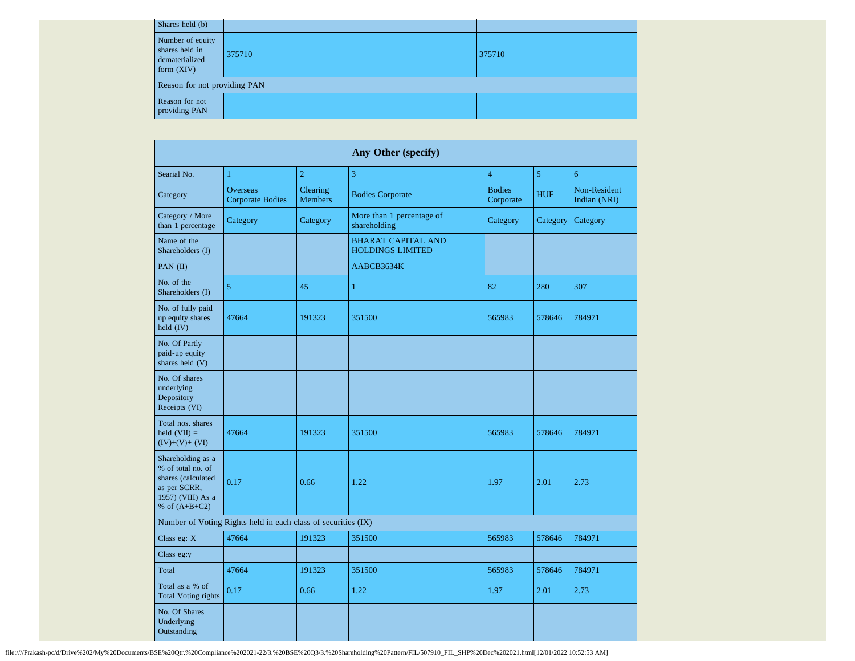| Shares held (b)                                                      |        |        |
|----------------------------------------------------------------------|--------|--------|
| Number of equity<br>shares held in<br>dematerialized<br>form $(XIV)$ | 375710 | 375710 |
| Reason for not providing PAN                                         |        |        |
| Reason for not<br>providing PAN                                      |        |        |

|                                                                                                                      |                                                               |                            | Any Other (specify)                                  |                            |                |                                     |  |
|----------------------------------------------------------------------------------------------------------------------|---------------------------------------------------------------|----------------------------|------------------------------------------------------|----------------------------|----------------|-------------------------------------|--|
| Searial No.                                                                                                          | $\mathbf{1}$                                                  | $\overline{2}$             | $\overline{3}$                                       | $\overline{4}$             | $\overline{5}$ | 6                                   |  |
| Category                                                                                                             | <b>Overseas</b><br><b>Corporate Bodies</b>                    | Clearing<br><b>Members</b> | <b>Bodies Corporate</b>                              | <b>Bodies</b><br>Corporate | <b>HUF</b>     | <b>Non-Resident</b><br>Indian (NRI) |  |
| Category / More<br>than 1 percentage                                                                                 | Category                                                      | Category                   | More than 1 percentage of<br>shareholding            | Category                   | Category       | Category                            |  |
| Name of the<br>Shareholders (I)                                                                                      |                                                               |                            | <b>BHARAT CAPITAL AND</b><br><b>HOLDINGS LIMITED</b> |                            |                |                                     |  |
| PAN (II)                                                                                                             |                                                               |                            | AABCB3634K                                           |                            |                |                                     |  |
| No. of the<br>Shareholders (I)                                                                                       | 5                                                             | 45                         | 1                                                    | 82                         | 280            | 307                                 |  |
| No. of fully paid<br>up equity shares<br>held $(IV)$                                                                 | 47664                                                         | 191323                     | 351500                                               | 565983                     | 578646         | 784971                              |  |
| No. Of Partly<br>paid-up equity<br>shares held (V)                                                                   |                                                               |                            |                                                      |                            |                |                                     |  |
| No. Of shares<br>underlying<br>Depository<br>Receipts (VI)                                                           |                                                               |                            |                                                      |                            |                |                                     |  |
| Total nos, shares<br>held $(VII) =$<br>$(IV)+(V)+(VI)$                                                               | 47664                                                         | 191323                     | 351500                                               | 565983                     | 578646         | 784971                              |  |
| Shareholding as a<br>% of total no. of<br>shares (calculated<br>as per SCRR,<br>1957) (VIII) As a<br>% of $(A+B+C2)$ | 0.17                                                          | 0.66                       | 1.22                                                 | 1.97                       | 2.01           | 2.73                                |  |
|                                                                                                                      | Number of Voting Rights held in each class of securities (IX) |                            |                                                      |                            |                |                                     |  |
| Class eg: X                                                                                                          | 47664                                                         | 191323                     | 351500                                               | 565983                     | 578646         | 784971                              |  |
| Class eg:y                                                                                                           |                                                               |                            |                                                      |                            |                |                                     |  |
| Total                                                                                                                | 47664                                                         | 191323                     | 351500                                               | 565983                     | 578646         | 784971                              |  |
| Total as a % of<br><b>Total Voting rights</b>                                                                        | 0.17                                                          | 0.66                       | 1.22                                                 | 1.97                       | 2.01           | 2.73                                |  |
| No. Of Shares<br>Underlying<br>Outstanding                                                                           |                                                               |                            |                                                      |                            |                |                                     |  |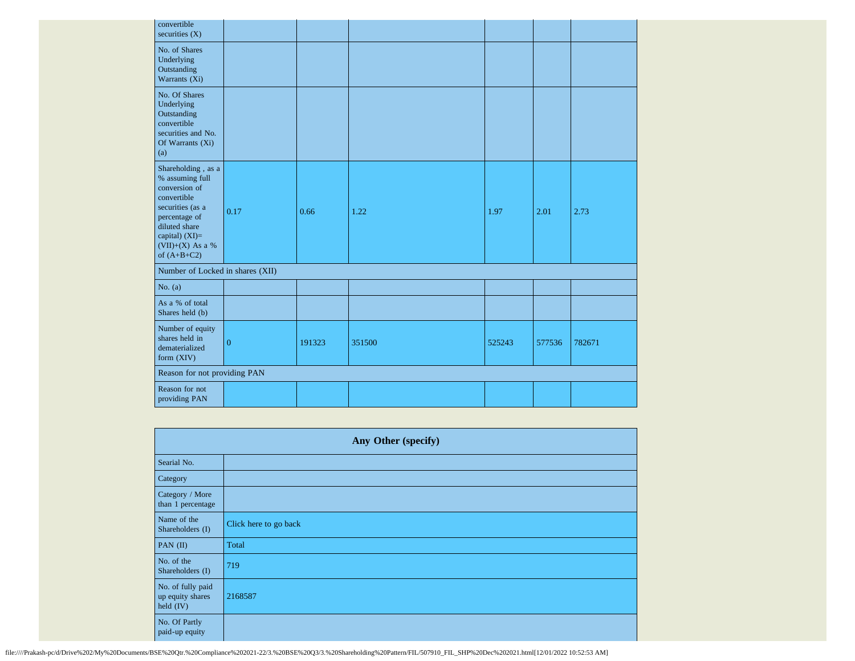| convertible<br>securities $(X)$                                                                                                                                                        |                |        |        |        |        |        |
|----------------------------------------------------------------------------------------------------------------------------------------------------------------------------------------|----------------|--------|--------|--------|--------|--------|
| No. of Shares<br>Underlying<br>Outstanding<br>Warrants (Xi)                                                                                                                            |                |        |        |        |        |        |
| No. Of Shares<br>Underlying<br>Outstanding<br>convertible<br>securities and No.<br>Of Warrants (Xi)<br>(a)                                                                             |                |        |        |        |        |        |
| Shareholding, as a<br>% assuming full<br>conversion of<br>convertible<br>securities (as a<br>percentage of<br>diluted share<br>capital) $(XI)=$<br>$(VII)+(X)$ As a %<br>of $(A+B+C2)$ | 0.17           | 0.66   | 1.22   | 1.97   | 2.01   | 2.73   |
| Number of Locked in shares (XII)                                                                                                                                                       |                |        |        |        |        |        |
| No. $(a)$                                                                                                                                                                              |                |        |        |        |        |        |
| As a % of total<br>Shares held (b)                                                                                                                                                     |                |        |        |        |        |        |
| Number of equity<br>shares held in<br>dematerialized<br>form (XIV)                                                                                                                     | $\overline{0}$ | 191323 | 351500 | 525243 | 577536 | 782671 |
| Reason for not providing PAN                                                                                                                                                           |                |        |        |        |        |        |
| Reason for not<br>providing PAN                                                                                                                                                        |                |        |        |        |        |        |

| Any Other (specify)                                  |                       |  |  |  |  |  |
|------------------------------------------------------|-----------------------|--|--|--|--|--|
| Searial No.                                          |                       |  |  |  |  |  |
| Category                                             |                       |  |  |  |  |  |
| Category / More<br>than 1 percentage                 |                       |  |  |  |  |  |
| Name of the<br>Shareholders (I)                      | Click here to go back |  |  |  |  |  |
| PAN $(II)$                                           | Total                 |  |  |  |  |  |
| No. of the<br>Shareholders (I)                       | 719                   |  |  |  |  |  |
| No. of fully paid<br>up equity shares<br>held $(IV)$ | 2168587               |  |  |  |  |  |
| No. Of Partly<br>paid-up equity                      |                       |  |  |  |  |  |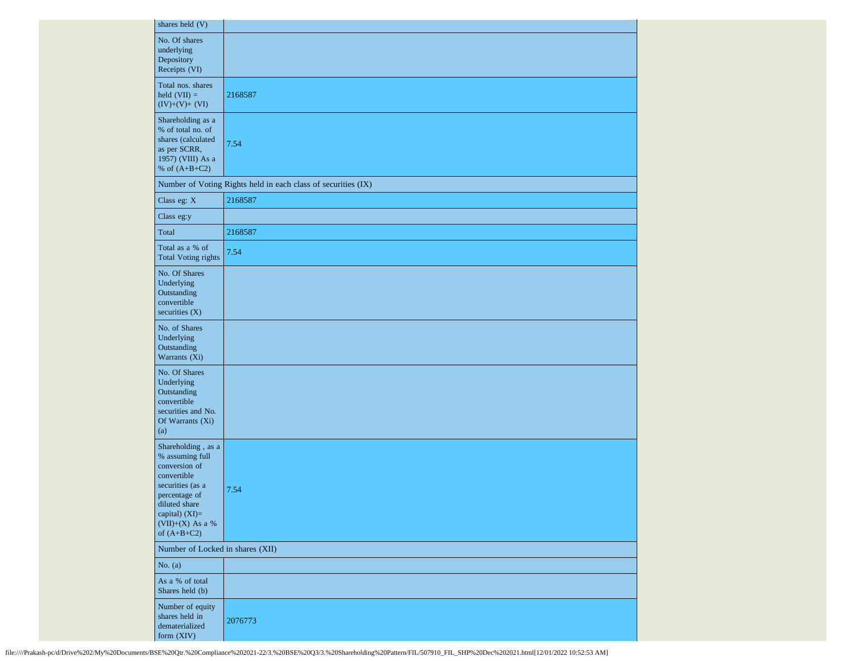| shares held (V)                                                                                                                                                                     |                                                               |
|-------------------------------------------------------------------------------------------------------------------------------------------------------------------------------------|---------------------------------------------------------------|
| No. Of shares<br>underlying<br>Depository<br>Receipts (VI)                                                                                                                          |                                                               |
| Total nos. shares<br>$\text{held (VII)} =$<br>$(IV)+(V)+(VI)$                                                                                                                       | 2168587                                                       |
| Shareholding as a<br>% of total no. of<br>shares (calculated<br>as per SCRR,<br>1957) (VIII) As a<br>% of $(A+B+C2)$                                                                | 7.54                                                          |
|                                                                                                                                                                                     | Number of Voting Rights held in each class of securities (IX) |
| Class eg: X                                                                                                                                                                         | 2168587                                                       |
| Class eg:y                                                                                                                                                                          |                                                               |
| Total                                                                                                                                                                               | 2168587                                                       |
| Total as a % of<br><b>Total Voting rights</b>                                                                                                                                       | 7.54                                                          |
| No. Of Shares<br>Underlying<br>Outstanding<br>convertible<br>securities $(X)$                                                                                                       |                                                               |
| No. of Shares<br>Underlying<br>Outstanding<br>Warrants (Xi)                                                                                                                         |                                                               |
| No. Of Shares<br>Underlying<br>Outstanding<br>convertible<br>securities and No.<br>Of Warrants (Xi)<br>(a)                                                                          |                                                               |
| Shareholding , as a<br>% assuming full<br>conversion of<br>convertible<br>securities (as a<br>percentage of<br>diluted share<br>capital) (XI)=<br>(VII)+(X) As a %<br>of $(A+B+C2)$ | 7.54                                                          |
| Number of Locked in shares (XII)                                                                                                                                                    |                                                               |
| No. $(a)$                                                                                                                                                                           |                                                               |
| As a % of total<br>Shares held (b)                                                                                                                                                  |                                                               |
| Number of equity<br>shares held in<br>dematerialized<br>form $(XIV)$                                                                                                                | 2076773                                                       |